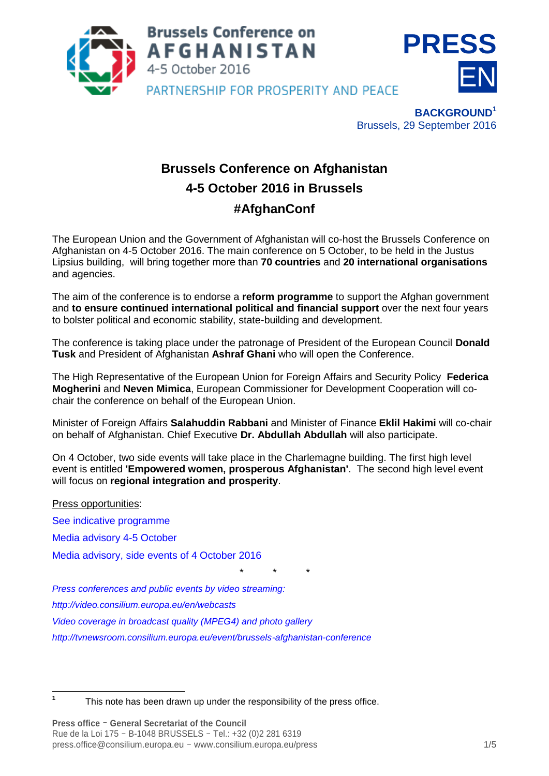



**BACKGROUND<sup>1</sup>** Brussels, 29 September 2016

# **Brussels Conference on Afghanistan 4-5 October 2016 in Brussels #AfghanConf**

The European Union and the Government of Afghanistan will co-host the Brussels Conference on Afghanistan on 4-5 October 2016. The main conference on 5 October, to be held in the Justus Lipsius building, will bring together more than **70 countries** and **20 international organisations**  and agencies.

The aim of the conference is to endorse a **reform programme** to support the Afghan government and **to ensure continued international political and financial support** over the next four years to bolster political and economic stability, state-building and development.

The conference is taking place under the patronage of President of the European Council **Donald Tusk** and President of Afghanistan **Ashraf Ghani** who will open the Conference.

The High Representative of the European Union for Foreign Affairs and Security Policy **Federica Mogherini** and **Neven Mimica**, European Commissioner for Development Cooperation will cochair the conference on behalf of the European Union.

Minister of Foreign Affairs **Salahuddin Rabbani** and Minister of Finance **Eklil Hakimi** will co-chair on behalf of Afghanistan. Chief Executive **Dr. Abdullah Abdullah** will also participate.

On 4 October, two side events will take place in the Charlemagne building. The first high level event is entitled **'Empowered women, prosperous Afghanistan'**. The second high level event will focus on **regional integration and prosperity**.

*\* \* \**

Press opportunities:

[See indicative programme](http://www.consilium.europa.eu/en/press/press-releases/2016/09/29-afghanistan-indicative-programme/)

[Media advisory 4-5 October](http://www.consilium.europa.eu/en/meetings/international-summit/2016/10/20161005-Afghanistan-conference-media-advisory-rev_pdf/)

[Media advisory, side events of 4 October 2016](http://www.consilium.europa.eu/en/meetings/international-summit/2016/10/04-afghanistan-conference-media-advisory-side-events_pdf/)

*[Press conferences and public events by video streaming:](http://video.consilium.europa.eu/)*

*<http://video.consilium.europa.eu/en/webcasts>*

*[Video coverage in broadcast quality \(MPEG4\) and photo gallery](https://tvnewsroom.consilium.europa.eu/permalink/81360)*

*<http://tvnewsroom.consilium.europa.eu/event/brussels-afghanistan-conference>*

 **1**

This note has been drawn up under the responsibility of the press office.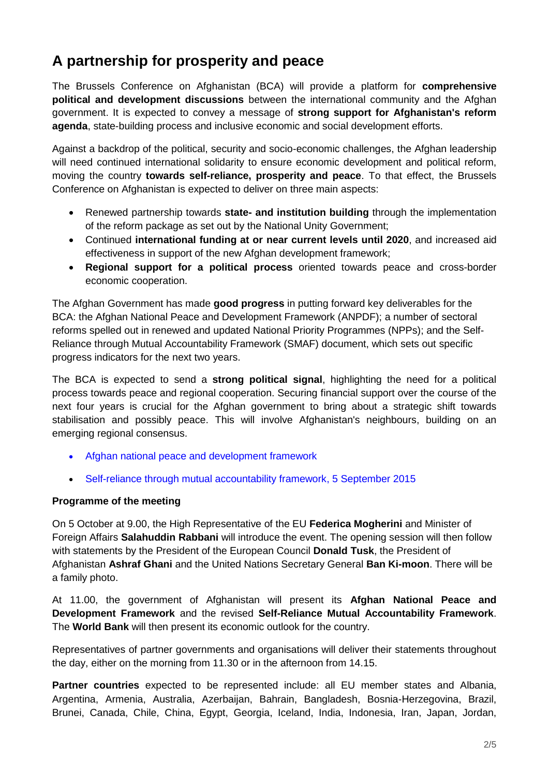# **A partnership for prosperity and peace**

The Brussels Conference on Afghanistan (BCA) will provide a platform for **comprehensive political and development discussions** between the international community and the Afghan government. It is expected to convey a message of **strong support for Afghanistan's reform agenda**, state-building process and inclusive economic and social development efforts.

Against a backdrop of the political, security and socio-economic challenges, the Afghan leadership will need continued international solidarity to ensure economic development and political reform, moving the country **towards self-reliance, prosperity and peace**. To that effect, the Brussels Conference on Afghanistan is expected to deliver on three main aspects:

- Renewed partnership towards **state- and institution building** through the implementation of the reform package as set out by the National Unity Government;
- Continued **international funding at or near current levels until 2020**, and increased aid effectiveness in support of the new Afghan development framework;
- **Regional support for a political process** oriented towards peace and cross-border economic cooperation.

The Afghan Government has made **good progress** in putting forward key deliverables for the BCA: the Afghan National Peace and Development Framework (ANPDF); a number of sectoral reforms spelled out in renewed and updated National Priority Programmes (NPPs); and the Self-Reliance through Mutual Accountability Framework (SMAF) document, which sets out specific progress indicators for the next two years.

The BCA is expected to send a **strong political signal**, highlighting the need for a political process towards peace and regional cooperation. Securing financial support over the course of the next four years is crucial for the Afghan government to bring about a strategic shift towards stabilisation and possibly peace. This will involve Afghanistan's neighbours, building on an emerging regional consensus.

- [Afghan national peace and development framework](http://policymof.gov.af/afghanistan-national-development-framework/)
- [Self-reliance through mutual accountability framework, 5 September 2015](http://www.mofa.go.jp/mofaj/files/000102254.pdf)

## **Programme of the meeting**

On 5 October at 9.00, the High Representative of the EU **Federica Mogherini** and Minister of Foreign Affairs **Salahuddin Rabbani** will introduce the event. The opening session will then follow with statements by the President of the European Council **Donald Tusk**, the President of Afghanistan **Ashraf Ghani** and the United Nations Secretary General **Ban Ki-moon**. There will be a family photo.

At 11.00, the government of Afghanistan will present its **Afghan National Peace and Development Framework** and the revised **Self-Reliance Mutual Accountability Framework**. The **World Bank** will then present its economic outlook for the country.

Representatives of partner governments and organisations will deliver their statements throughout the day, either on the morning from 11.30 or in the afternoon from 14.15.

**Partner countries** expected to be represented include: all EU member states and Albania, Argentina, Armenia, Australia, Azerbaijan, Bahrain, Bangladesh, Bosnia-Herzegovina, Brazil, Brunei, Canada, Chile, China, Egypt, Georgia, Iceland, India, Indonesia, Iran, Japan, Jordan,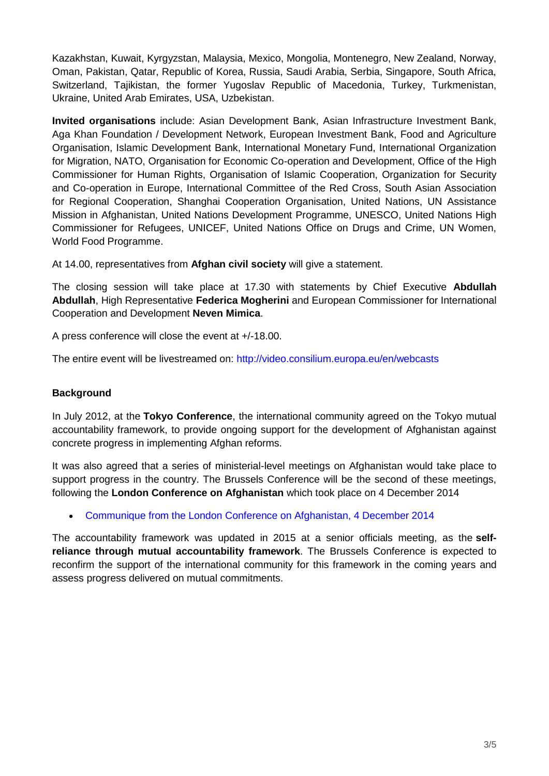Kazakhstan, Kuwait, Kyrgyzstan, Malaysia, Mexico, Mongolia, Montenegro, New Zealand, Norway, Oman, Pakistan, Qatar, Republic of Korea, Russia, Saudi Arabia, Serbia, Singapore, South Africa, Switzerland, Tajikistan, the former Yugoslav Republic of Macedonia, Turkey, Turkmenistan, Ukraine, United Arab Emirates, USA, Uzbekistan.

**Invited organisations** include: Asian Development Bank, Asian Infrastructure Investment Bank, Aga Khan Foundation / Development Network, European Investment Bank, Food and Agriculture Organisation, Islamic Development Bank, International Monetary Fund, International Organization for Migration, NATO, Organisation for Economic Co-operation and Development, Office of the High Commissioner for Human Rights, Organisation of Islamic Cooperation, Organization for Security and Co-operation in Europe, International Committee of the Red Cross, South Asian Association for Regional Cooperation, Shanghai Cooperation Organisation, United Nations, UN Assistance Mission in Afghanistan, United Nations Development Programme, UNESCO, United Nations High Commissioner for Refugees, UNICEF, United Nations Office on Drugs and Crime, UN Women, World Food Programme.

At 14.00, representatives from **Afghan civil society** will give a statement.

The closing session will take place at 17.30 with statements by Chief Executive **Abdullah Abdullah**, High Representative **Federica Mogherini** and European Commissioner for International Cooperation and Development **Neven Mimica**.

A press conference will close the event at +/-18.00.

The entire event will be livestreamed on:<http://video.consilium.europa.eu/en/webcasts>

## **Background**

In July 2012, at the **Tokyo Conference**, the international community agreed on the Tokyo mutual accountability framework, to provide ongoing support for the development of Afghanistan against concrete progress in implementing Afghan reforms.

It was also agreed that a series of ministerial-level meetings on Afghanistan would take place to support progress in the country. The Brussels Conference will be the second of these meetings, following the **London Conference on Afghanistan** which took place on 4 December 2014

[Communique from the London Conference on Afghanistan, 4 December 2014](https://www.gov.uk/government/uploads/system/uploads/attachment_data/file/383205/The-London-Conference-on-Afghanistan-Communique.pdf)

The accountability framework was updated in 2015 at a senior officials meeting, as the **selfreliance through mutual accountability framework**. The Brussels Conference is expected to reconfirm the support of the international community for this framework in the coming years and assess progress delivered on mutual commitments.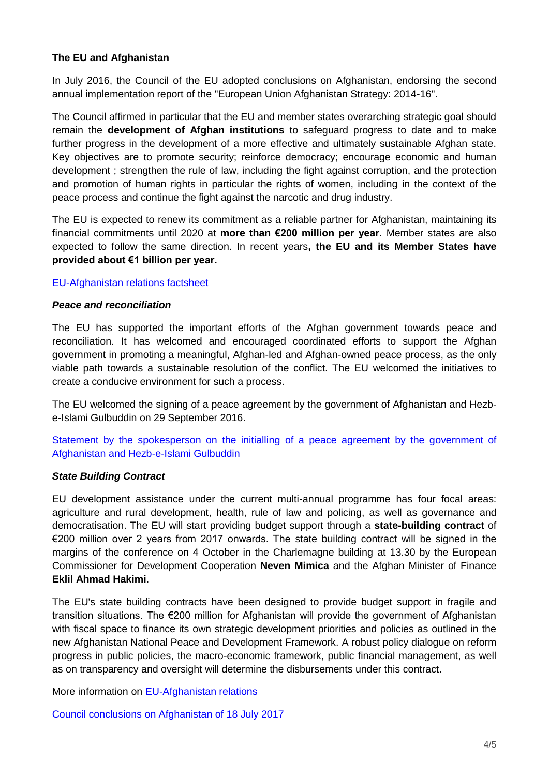### **The EU and Afghanistan**

In July 2016, the Council of the EU adopted conclusions on Afghanistan, endorsing the second annual implementation report of the "European Union Afghanistan Strategy: 2014-16".

The Council affirmed in particular that the EU and member states overarching strategic goal should remain the **development of Afghan institutions** to safeguard progress to date and to make further progress in the development of a more effective and ultimately sustainable Afghan state. Key objectives are to promote security; reinforce democracy; encourage economic and human development ; strengthen the rule of law, including the fight against corruption, and the protection and promotion of human rights in particular the rights of women, including in the context of the peace process and continue the fight against the narcotic and drug industry.

The EU is expected to renew its commitment as a reliable partner for Afghanistan, maintaining its financial commitments until 2020 at **more than €200 million per year**. Member states are also expected to follow the same direction. In recent years**, the EU and its Member States have provided about €1 billion per year.** 

#### [EU-Afghanistan relations factsheet](https://eeas.europa.eu/delegations/afghanistan/10740/eu-afghanistan-relations_en)

#### *Peace and reconciliation*

The EU has supported the important efforts of the Afghan government towards peace and reconciliation. It has welcomed and encouraged coordinated efforts to support the Afghan government in promoting a meaningful, Afghan-led and Afghan-owned peace process, as the only viable path towards a sustainable resolution of the conflict. The EU welcomed the initiatives to create a conducive environment for such a process.

The EU welcomed the signing of a peace agreement by the government of Afghanistan and Hezbe-Islami Gulbuddin on 29 September 2016.

[Statement by the spokesperson on the initialling of a peace agreement by the government of](https://eeas.europa.eu/headquarters/headquarters-homepage/10229/on-the-initiallitation-of-a-peace-agreement-by-the-government-of-afghanistan-and-hezb-e-islami-gulbuddin_en)  [Afghanistan and Hezb-e-Islami Gulbuddin](https://eeas.europa.eu/headquarters/headquarters-homepage/10229/on-the-initiallitation-of-a-peace-agreement-by-the-government-of-afghanistan-and-hezb-e-islami-gulbuddin_en)

## *State Building Contract*

EU development assistance under the current multi-annual programme has four focal areas: agriculture and rural development, health, rule of law and policing, as well as governance and democratisation. The EU will start providing budget support through a **state-building contract** of €200 million over 2 years from 2017 onwards. The state building contract will be signed in the margins of the conference on 4 October in the Charlemagne building at 13.30 by the European Commissioner for Development Cooperation **Neven Mimica** and the Afghan Minister of Finance **Eklil Ahmad Hakimi**.

The EU's state building contracts have been designed to provide budget support in fragile and transition situations. The €200 million for Afghanistan will provide the government of Afghanistan with fiscal space to finance its own strategic development priorities and policies as outlined in the new Afghanistan National Peace and Development Framework. A robust policy dialogue on reform progress in public policies, the macro-economic framework, public financial management, as well as on transparency and oversight will determine the disbursements under this contract.

More information on [EU-Afghanistan relations](http://www.consilium.europa.eu/en/meetings/international-summit/2016/10/05-eu-afghanistan-relations/)

[Council conclusions on Afghanistan of 18 July 2017](http://www.consilium.europa.eu/en/press/press-releases/2016/07/18-fac-afghanistan-conclusions/)